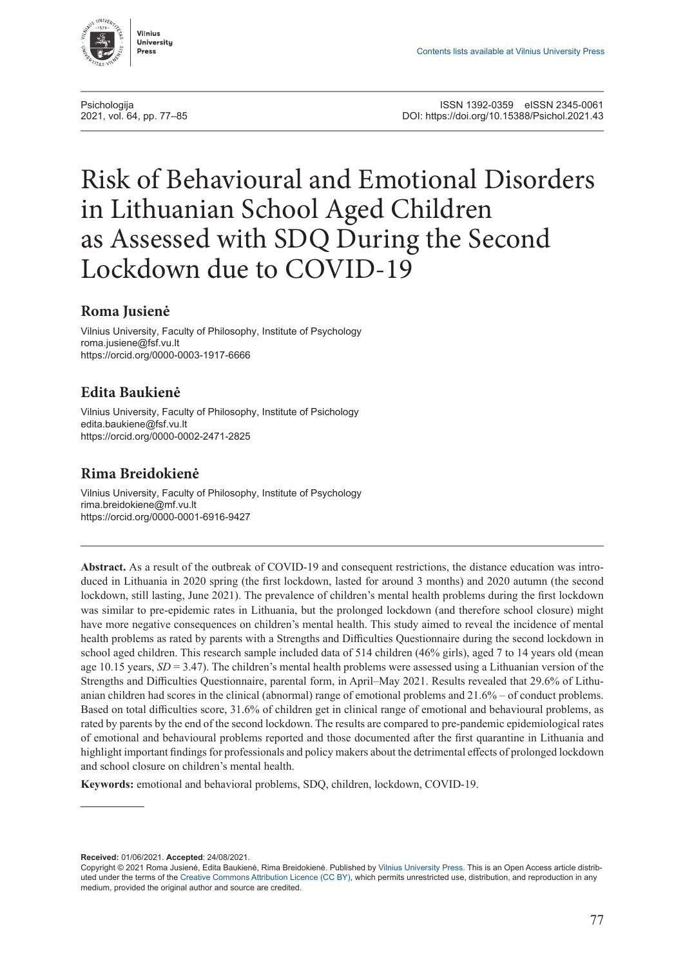<span id="page-0-0"></span>

# Risk of Behavioural and Emotional Disorders in Lithuanian School Aged Children as Assessed with SDQ During the Second Lockdown due to COVID-19

## **Roma Jusienė**

Vilnius University, Faculty of Philosophy, Institute of Psychology [roma.jusiene@fsf.vu.lt](mailto:roma.jusiene@fsf.vu.lt) <https://orcid.org/0000-0003-1917-6666>

# **Edita Baukienė**

Vilnius University, Faculty of Philosophy, Institute of Psichology [edita.baukiene@fsf.vu.lt](mailto:edita.baukiene@fsf.vu.lt) <https://orcid.org/0000-0002-2471-2825>

# **Rima Breidokienė**

Vilnius University, Faculty of Philosophy, Institute of Psychology [rima.breidokiene@mf.vu.lt](mailto:rima.breidokiene@mf.vu.lt) <https://orcid.org/0000-0001-6916-9427>

**Abstract.** As a result of the outbreak of COVID-19 and consequent restrictions, the distance education was introduced in Lithuania in 2020 spring (the first lockdown, lasted for around 3 months) and 2020 autumn (the second lockdown, still lasting, June 2021). The prevalence of children's mental health problems during the first lockdown was similar to pre-epidemic rates in Lithuania, but the prolonged lockdown (and therefore school closure) might have more negative consequences on children's mental health. This study aimed to reveal the incidence of mental health problems as rated by parents with a Strengths and Difficulties Questionnaire during the second lockdown in school aged children. This research sample included data of 514 children (46% girls), aged 7 to 14 years old (mean age 10.15 years, *SD* = 3.47). The children's mental health problems were assessed using a Lithuanian version of the Strengths and Difficulties Questionnaire, parental form, in April–May 2021. Results revealed that 29.6% of Lithuanian children had scores in the clinical (abnormal) range of emotional problems and 21.6% – of conduct problems. Based on total difficulties score, 31.6% of children get in clinical range of emotional and behavioural problems, as rated by parents by the end of the second lockdown. The results are compared to pre-pandemic epidemiological rates of emotional and behavioural problems reported and those documented after the first quarantine in Lithuania and highlight important findings for professionals and policy makers about the detrimental effects of prolonged lockdown and school closure on children's mental health.

**Keywords:** emotional and behavioral problems, SDQ, children, lockdown, COVID-19.

**Received:** 01/06/2021. **Accepted**: 24/08/2021.

Copyright © 2021 Roma Jusienė, Edita Baukienė, Rima Breidokienė. Published by [Vilnius University Press](https://www.vu.lt/leidyba/). This is an Open Access article distributed under the terms of the [Creative Commons Attribution Licence \(CC BY\),](https://creativecommons.org/licenses/by/4.0/) which permits unrestricted use, distribution, and reproduction in any medium, provided the original author and source are credited.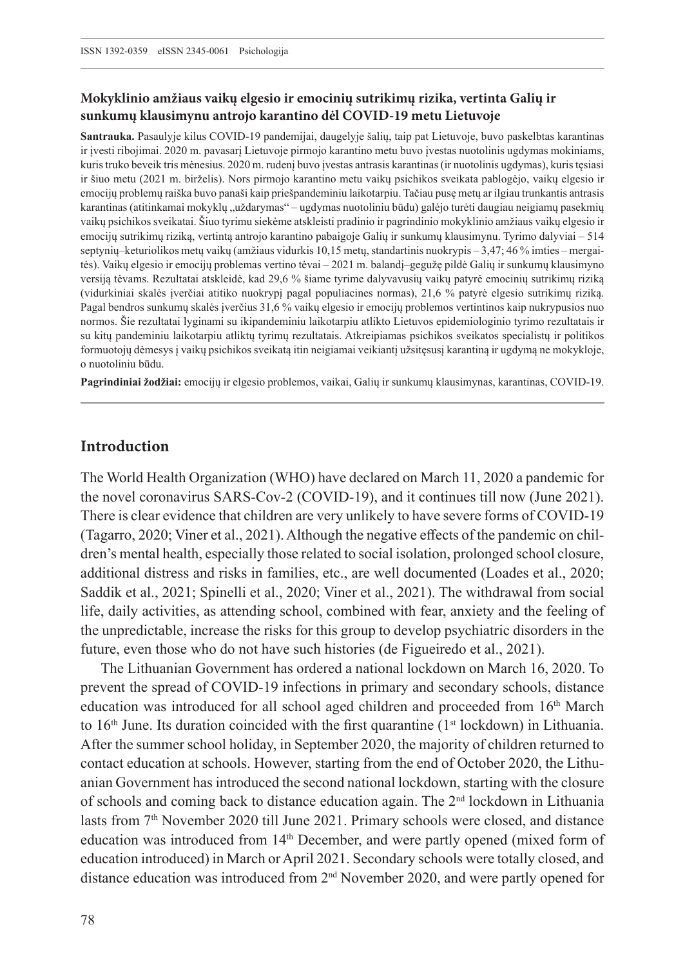## **Mokyklinio amžiaus vaikų elgesio ir emocinių sutrikimų rizika, vertinta Galių ir sunkumų klausimynu antrojo karantino dėl COVID-19 metu Lietuvoje**

**Santrauka.** Pasaulyje kilus COVID-19 pandemijai, daugelyje šalių, taip pat Lietuvoje, buvo paskelbtas karantinas ir įvesti ribojimai. 2020 m. pavasarį Lietuvoje pirmojo karantino metu buvo įvestas nuotolinis ugdymas mokiniams, kuris truko beveik tris mėnesius. 2020 m. rudenį buvo įvestas antrasis karantinas (ir nuotolinis ugdymas), kuris tęsiasi ir šiuo metu (2021 m. birželis). Nors pirmojo karantino metu vaikų psichikos sveikata pablogėjo, vaikų elgesio ir emocijų problemų raiška buvo panaši kaip priešpandeminiu laikotarpiu. Tačiau pusę metų ar ilgiau trunkantis antrasis karantinas (atitinkamai mokyklų "uždarymas" – ugdymas nuotoliniu būdu) galėjo turėti daugiau neigiamų pasekmių vaikų psichikos sveikatai. Šiuo tyrimu siekėme atskleisti pradinio ir pagrindinio mokyklinio amžiaus vaikų elgesio ir emocijų sutrikimų riziką, vertintą antrojo karantino pabaigoje Galių ir sunkumų klausimynu. Tyrimo dalyviai – 514 septynių–keturiolikos metų vaikų (amžiaus vidurkis 10,15 metų, standartinis nuokrypis – 3,47; 46 % imties – mergaitės). Vaikų elgesio ir emocijų problemas vertino tėvai – 2021 m. balandį–gegužę pildė Galių ir sunkumų klausimyno versiją tėvams. Rezultatai atskleidė, kad 29,6 % šiame tyrime dalyvavusių vaikų patyrė emocinių sutrikimų riziką (vidurkiniai skalės įverčiai atitiko nuokrypį pagal populiacines normas), 21,6 % patyrė elgesio sutrikimų riziką. Pagal bendros sunkumų skalės įverčius 31,6 % vaikų elgesio ir emocijų problemos vertintinos kaip nukrypusios nuo normos. Šie rezultatai lyginami su ikipandeminiu laikotarpiu atlikto Lietuvos epidemiologinio tyrimo rezultatais ir su kitų pandeminiu laikotarpiu atliktų tyrimų rezultatais. Atkreipiamas psichikos sveikatos specialistų ir politikos formuotojų dėmesys į vaikų psichikos sveikatą itin neigiamai veikiantį užsitęsusį karantiną ir ugdymą ne mokykloje, o nuotoliniu būdu.

**Pagrindiniai žodžiai:** emocijų ir elgesio problemos, vaikai, Galių ir sunkumų klausimynas, karantinas, COVID-19.

## **Introduction**

The World Health Organization (WHO) have declared on March 11, 2020 a pandemic for the novel coronavirus SARS-Cov-2 (COVID-19), and it continues till now (June 2021). There is clear evidence that children are very unlikely to have severe forms of COVID-19 (Tagarro, 2020; Viner et al., 2021). Although the negative effects of the pandemic on children's mental health, especially those related to social isolation, prolonged school closure, additional distress and risks in families, etc., are well documented (Loades et al., 2020; Saddik et al., 2021; Spinelli et al., 2020; Viner et al., 2021). The withdrawal from social life, daily activities, as attending school, combined with fear, anxiety and the feeling of the unpredictable, increase the risks for this group to develop psychiatric disorders in the future, even those who do not have such histories (de Figueiredo et al., 2021).

The Lithuanian Government has ordered a national lockdown on March 16, 2020. To prevent the spread of COVID-19 infections in primary and secondary schools, distance education was introduced for all school aged children and proceeded from 16th March to  $16<sup>th</sup>$  June. Its duration coincided with the first quarantine ( $1<sup>st</sup>$  lockdown) in Lithuania. After the summer school holiday, in September 2020, the majority of children returned to contact education at schools. However, starting from the end of October 2020, the Lithuanian Government has introduced the second national lockdown, starting with the closure of schools and coming back to distance education again. The 2nd lockdown in Lithuania lasts from 7th November 2020 till June 2021. Primary schools were closed, and distance education was introduced from 14th December, and were partly opened (mixed form of education introduced) in March or April 2021. Secondary schools were totally closed, and distance education was introduced from 2nd November 2020, and were partly opened for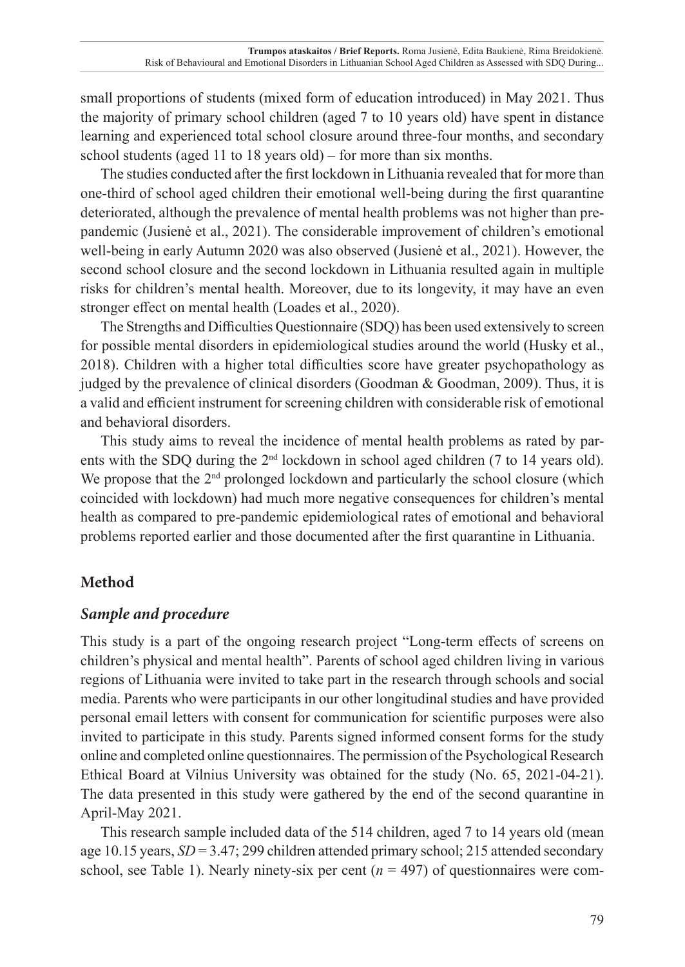small proportions of students (mixed form of education introduced) in May 2021. Thus the majority of primary school children (aged 7 to 10 years old) have spent in distance learning and experienced total school closure around three-four months, and secondary school students (aged 11 to 18 years old) – for more than six months.

The studies conducted after the first lockdown in Lithuania revealed that for more than one-third of school aged children their emotional well-being during the first quarantine deteriorated, although the prevalence of mental health problems was not higher than prepandemic (Jusienė et al., 2021). The considerable improvement of children's emotional well-being in early Autumn 2020 was also observed (Jusienė et al., 2021). However, the second school closure and the second lockdown in Lithuania resulted again in multiple risks for children's mental health. Moreover, due to its longevity, it may have an even stronger effect on mental health (Loades et al., 2020).

The Strengths and Difficulties Questionnaire (SDQ) has been used extensively to screen for possible mental disorders in epidemiological studies around the world (Husky et al., 2018). Children with a higher total difficulties score have greater psychopathology as judged by the prevalence of clinical disorders (Goodman & Goodman, 2009). Thus, it is a valid and efficient instrument for screening children with considerable risk of emotional and behavioral disorders.

This study aims to reveal the incidence of mental health problems as rated by parents with the SDQ during the  $2<sup>nd</sup>$  lockdown in school aged children (7 to 14 years old). We propose that the  $2<sup>nd</sup>$  prolonged lockdown and particularly the school closure (which coincided with lockdown) had much more negative consequences for children's mental health as compared to pre-pandemic epidemiological rates of emotional and behavioral problems reported earlier and those documented after the first quarantine in Lithuania.

# **Method**

# *Sample and procedure*

This study is a part of the ongoing research project "Long-term effects of screens on children's physical and mental health". Parents of school aged children living in various regions of Lithuania were invited to take part in the research through schools and social media. Parents who were participants in our other longitudinal studies and have provided personal email letters with consent for communication for scientific purposes were also invited to participate in this study. Parents signed informed consent forms for the study online and completed online questionnaires. The permission of the Psychological Research Ethical Board at Vilnius University was obtained for the study (No. 65, 2021-04-21). The data presented in this study were gathered by the end of the second quarantine in April-May 2021.

This research sample included data of the 514 children, aged 7 to 14 years old (mean age 10.15 years, *SD* = 3.47; 299 children attended primary school; 215 attended secondary school, see Table 1). Nearly ninety-six per cent  $(n = 497)$  of questionnaires were com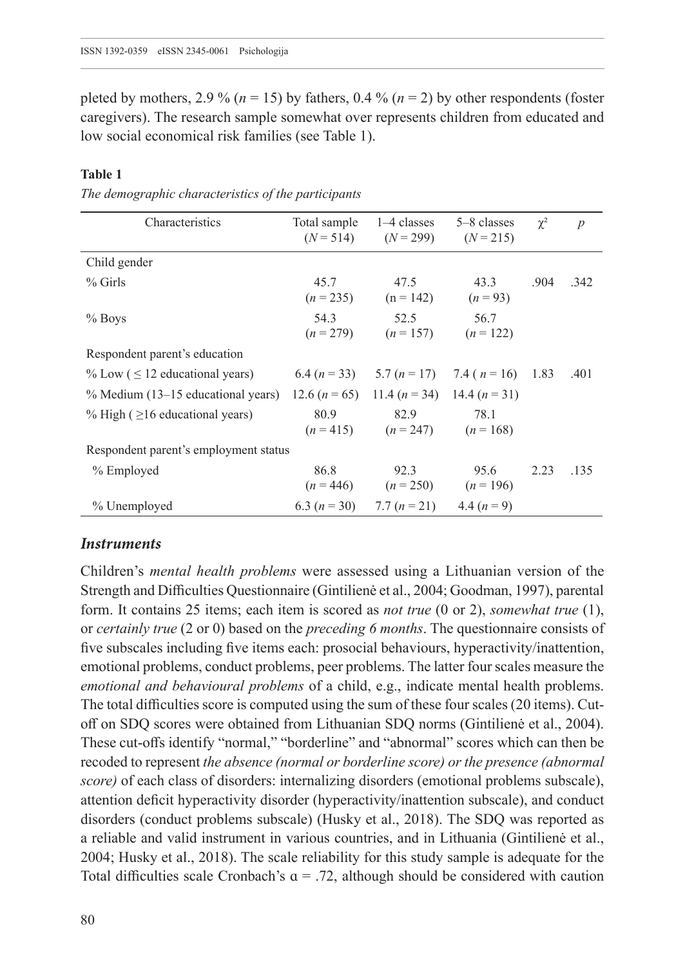pleted by mothers, 2.9 % ( $n = 15$ ) by fathers, 0.4 % ( $n = 2$ ) by other respondents (foster caregivers). The research sample somewhat over represents children from educated and low social economical risk families (see Table 1).

#### **Table 1**

*The demographic characteristics of the participants*

| Characteristics                       | Total sample<br>$(N = 514)$ | 1–4 classes<br>$(N = 299)$                        | 5–8 classes<br>$(N = 215)$      | $\chi^2$ | $\overline{p}$ |  |  |
|---------------------------------------|-----------------------------|---------------------------------------------------|---------------------------------|----------|----------------|--|--|
| Child gender                          |                             |                                                   |                                 |          |                |  |  |
| $%$ Girls                             | 45.7<br>$(n = 235)$         | 47.5<br>$(n = 142)$                               | 43.3<br>$(n=93)$                | .904     | .342           |  |  |
| $%$ Boys                              | 54.3<br>$(n = 279)$         | 52.5<br>$(n = 157)$                               | 56.7<br>$(n = 122)$             |          |                |  |  |
| Respondent parent's education         |                             |                                                   |                                 |          |                |  |  |
| % Low $( \leq 12$ educational years)  |                             | 6.4 $(n = 33)$ 5.7 $(n = 17)$ 7.4 $(n = 16)$ 1.83 |                                 |          | .401           |  |  |
| % Medium (13–15 educational years)    | 12.6 $(n = 65)$             |                                                   | 11.4 $(n = 34)$ 14.4 $(n = 31)$ |          |                |  |  |
| % High ( $\geq$ 16 educational years) | 80.9                        | 82.9<br>$(n = 415)$ $(n = 247)$ $(n = 168)$       | 78.1                            |          |                |  |  |
| Respondent parent's employment status |                             |                                                   |                                 |          |                |  |  |
| % Employed                            | 86.8<br>$(n = 446)$         | 92.3<br>$(n = 250)$                               | 95.6<br>$(n = 196)$             | 2.23     | .135           |  |  |
| % Unemployed                          |                             | 6.3 $(n = 30)$ 7.7 $(n = 21)$                     | 4.4 $(n = 9)$                   |          |                |  |  |

#### *Instruments*

Children's *mental health problems* were assessed using a Lithuanian version of the Strength and Difficulties Questionnaire (Gintilienė et al., 2004; Goodman, 1997), parental form. It contains 25 items; each item is scored as *not true* (0 or 2), *somewhat true* (1), or *certainly true* (2 or 0) based on the *preceding 6 months*. The questionnaire consists of five subscales including five items each: prosocial behaviours, hyperactivity/inattention, emotional problems, conduct problems, peer problems. The latter four scales measure the *emotional and behavioural problems* of a child, e.g., indicate mental health problems. The total difficulties score is computed using the sum of these four scales (20 items). Cutoff on SDQ scores were obtained from Lithuanian SDQ norms (Gintilienė et al., 2004). These cut-offs identify "normal," "borderline" and "abnormal" scores which can then be recoded to represent *the absence (normal or borderline score) or the presence (abnormal score)* of each class of disorders: internalizing disorders (emotional problems subscale), attention deficit hyperactivity disorder (hyperactivity/inattention subscale), and conduct disorders (conduct problems subscale) (Husky et al., 2018). The SDQ was reported as a reliable and valid instrument in various countries, and in Lithuania (Gintilienė et al., 2004; Husky et al., 2018). The scale reliability for this study sample is adequate for the Total difficulties scale Cronbach's  $a = .72$ , although should be considered with caution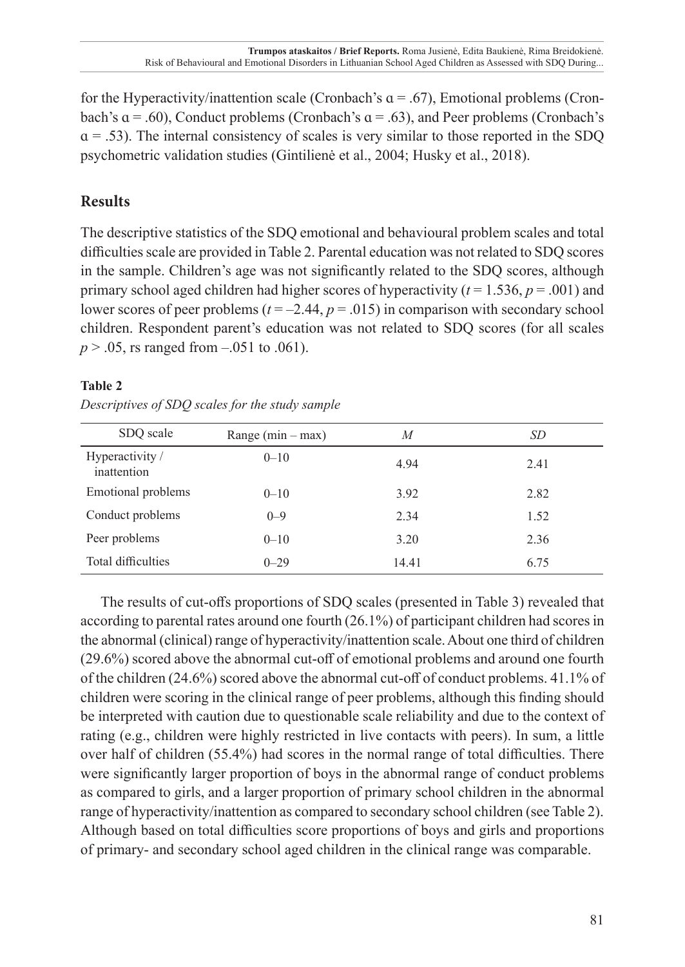for the Hyperactivity/inattention scale (Cronbach's  $\alpha$  = .67), Emotional problems (Cronbach's  $a = .60$ ), Conduct problems (Cronbach's  $a = .63$ ), and Peer problems (Cronbach's  $\alpha$  = .53). The internal consistency of scales is very similar to those reported in the SDO psychometric validation studies (Gintilienė et al., 2004; Husky et al., 2018).

# **Results**

The descriptive statistics of the SDQ emotional and behavioural problem scales and total difficulties scale are provided in Table 2. Parental education was not related to SDQ scores in the sample. Children's age was not significantly related to the SDQ scores, although primary school aged children had higher scores of hyperactivity ( $t = 1.536$ ,  $p = .001$ ) and lower scores of peer problems ( $t = -2.44$ ,  $p = .015$ ) in comparison with secondary school children. Respondent parent's education was not related to SDQ scores (for all scales *p* > .05, rs ranged from –.051 to .061).

## **Table 2**

*Descriptives of SDQ scales for the study sample*

| SDQ scale                      | Range $(min - max)$ | M     | SD   |
|--------------------------------|---------------------|-------|------|
| Hyperactivity /<br>inattention | $0 - 10$            | 4.94  | 2.41 |
| Emotional problems             | $0 - 10$            | 3.92  | 2.82 |
| Conduct problems               | $0 - 9$             | 2.34  | 1.52 |
| Peer problems                  | $0 - 10$            | 3.20  | 2.36 |
| Total difficulties             | $0 - 29$            | 14.41 | 6.75 |

The results of cut-offs proportions of SDQ scales (presented in Table 3) revealed that according to parental rates around one fourth (26.1%) of participant children had scores in the abnormal (clinical) range of hyperactivity/inattention scale. About one third of children (29.6%) scored above the abnormal cut-off of emotional problems and around one fourth of the children (24.6%) scored above the abnormal cut-off of conduct problems. 41.1% of children were scoring in the clinical range of peer problems, although this finding should be interpreted with caution due to questionable scale reliability and due to the context of rating (e.g., children were highly restricted in live contacts with peers). In sum, a little over half of children (55.4%) had scores in the normal range of total difficulties. There were significantly larger proportion of boys in the abnormal range of conduct problems as compared to girls, and a larger proportion of primary school children in the abnormal range of hyperactivity/inattention as compared to secondary school children (see Table 2). Although based on total difficulties score proportions of boys and girls and proportions of primary- and secondary school aged children in the clinical range was comparable.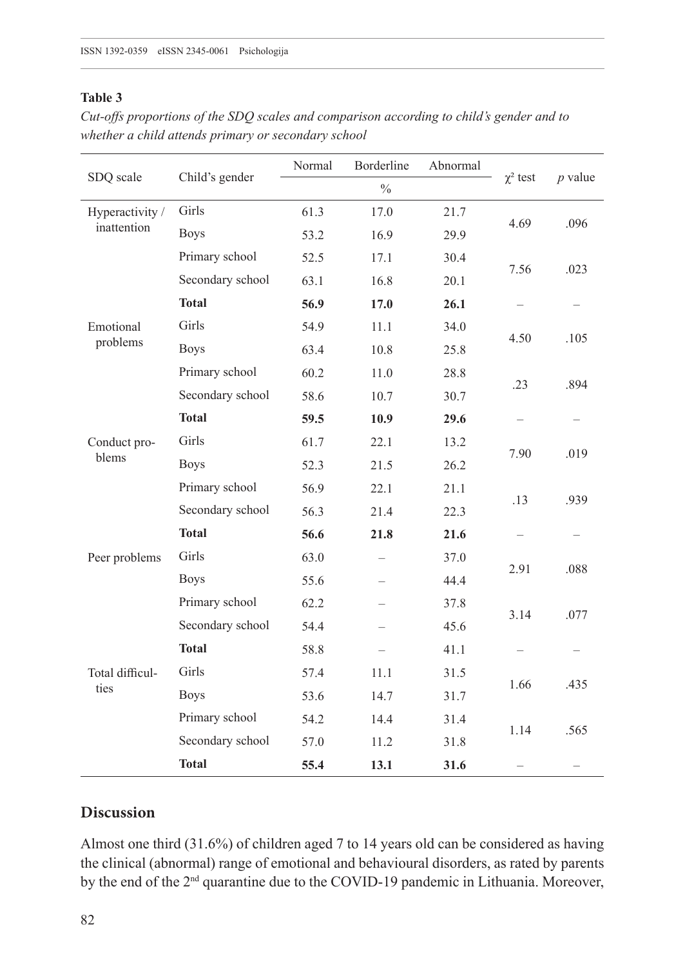#### **Table 3**

| SDQ scale                      | Child's gender   | Normal | Borderline    | Abnormal |               | $p$ value |
|--------------------------------|------------------|--------|---------------|----------|---------------|-----------|
|                                |                  |        | $\frac{0}{0}$ |          | $\chi^2$ test |           |
| Hyperactivity /<br>inattention | Girls            | 61.3   | 17.0          | 21.7     | 4.69          | .096      |
|                                | <b>Boys</b>      | 53.2   | 16.9          | 29.9     |               |           |
|                                | Primary school   | 52.5   | 17.1          | 30.4     | 7.56          | .023      |
|                                | Secondary school | 63.1   | 16.8          | 20.1     |               |           |
|                                | <b>Total</b>     | 56.9   | 17.0          | 26.1     |               |           |
| Emotional<br>problems          | Girls            | 54.9   | 11.1          | 34.0     |               | .105      |
|                                | <b>Boys</b>      | 63.4   | 10.8          | 25.8     | 4.50          |           |
|                                | Primary school   | 60.2   | 11.0          | 28.8     | .23           | .894      |
|                                | Secondary school | 58.6   | 10.7          | 30.7     |               |           |
|                                | <b>Total</b>     | 59.5   | 10.9          | 29.6     |               |           |
| Conduct pro-<br>blems          | Girls            | 61.7   | 22.1          | 13.2     | 7.90          | .019      |
|                                | <b>Boys</b>      | 52.3   | 21.5          | 26.2     |               |           |
|                                | Primary school   | 56.9   | 22.1          | 21.1     | .13           | .939      |
|                                | Secondary school | 56.3   | 21.4          | 22.3     |               |           |
|                                | <b>Total</b>     | 56.6   | 21.8          | 21.6     |               |           |
| Peer problems                  | Girls            | 63.0   |               | 37.0     | 2.91          | .088      |
|                                | <b>Boys</b>      | 55.6   |               | 44.4     |               |           |
|                                | Primary school   | 62.2   |               | 37.8     | 3.14          | .077      |
|                                | Secondary school | 54.4   |               | 45.6     |               |           |
|                                | <b>Total</b>     | 58.8   |               | 41.1     |               |           |
| Total difficul-<br>ties        | Girls            | 57.4   | 11.1          | 31.5     | 1.66          | .435      |
|                                | <b>Boys</b>      | 53.6   | 14.7          | 31.7     |               |           |
|                                | Primary school   | 54.2   | 14.4          | 31.4     | 1.14          | .565      |
|                                | Secondary school | 57.0   | 11.2          | 31.8     |               |           |
|                                | <b>Total</b>     | 55.4   | 13.1          | 31.6     |               |           |

*Cut-offs proportions of the SDQ scales and comparison according to child's gender and to whether a child attends primary or secondary school*

# **Discussion**

Almost one third (31.6%) of children aged 7 to 14 years old can be considered as having the clinical (abnormal) range of emotional and behavioural disorders, as rated by parents by the end of the 2nd quarantine due to the COVID-19 pandemic in Lithuania. Moreover,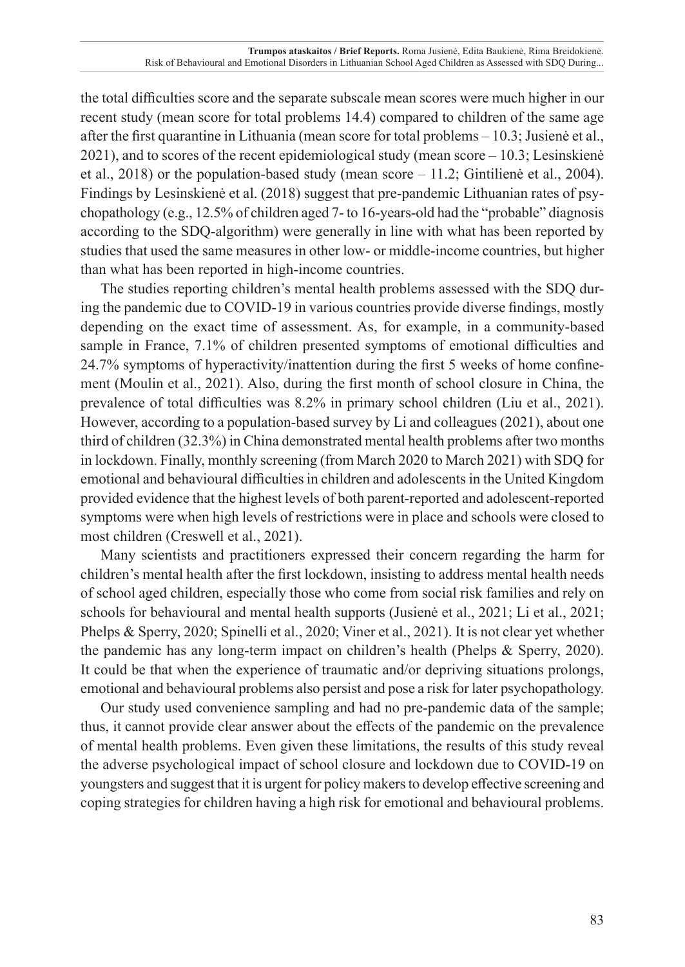the total difficulties score and the separate subscale mean scores were much higher in our recent study (mean score for total problems 14.4) compared to children of the same age after the first quarantine in Lithuania (mean score for total problems – 10.3; Jusienė et al., 2021), and to scores of the recent epidemiological study (mean score – 10.3; Lesinskienė et al., 2018) or the population-based study (mean score – 11.2; Gintilienė et al., 2004). Findings by Lesinskienė et al. (2018) suggest that pre-pandemic Lithuanian rates of psychopathology (e.g., 12.5% of children aged 7- to 16-years-old had the "probable" diagnosis according to the SDQ-algorithm) were generally in line with what has been reported by studies that used the same measures in other low- or middle-income countries, but higher than what has been reported in high-income countries.

The studies reporting children's mental health problems assessed with the SDQ during the pandemic due to COVID-19 in various countries provide diverse findings, mostly depending on the exact time of assessment. As, for example, in a community-based sample in France, 7.1% of children presented symptoms of emotional difficulties and 24.7% symptoms of hyperactivity/inattention during the first 5 weeks of home confinement (Moulin et al., 2021). Also, during the first month of school closure in China, the prevalence of total difficulties was 8.2% in primary school children (Liu et al., 2021). However, according to a population-based survey by Li and colleagues (2021), about one third of children (32.3%) in China demonstrated mental health problems after two months in lockdown. Finally, monthly screening (from March 2020 to March 2021) with SDQ for emotional and behavioural difficulties in children and adolescents in the United Kingdom provided evidence that the highest levels of both parent-reported and adolescent-reported symptoms were when high levels of restrictions were in place and schools were closed to most children (Creswell et al., 2021).

Many scientists and practitioners expressed their concern regarding the harm for children's mental health after the first lockdown, insisting to address mental health needs of school aged children, especially those who come from social risk families and rely on schools for behavioural and mental health supports (Jusienė et al., 2021; Li et al., 2021; Phelps & Sperry, 2020; Spinelli et al., 2020; Viner et al., 2021). It is not clear yet whether the pandemic has any long-term impact on children's health (Phelps & Sperry, 2020). It could be that when the experience of traumatic and/or depriving situations prolongs, emotional and behavioural problems also persist and pose a risk for later psychopathology.

Our study used convenience sampling and had no pre-pandemic data of the sample; thus, it cannot provide clear answer about the effects of the pandemic on the prevalence of mental health problems. Even given these limitations, the results of this study reveal the adverse psychological impact of school closure and lockdown due to COVID-19 on youngsters and suggest that it is urgent for policy makers to develop effective screening and coping strategies for children having a high risk for emotional and behavioural problems.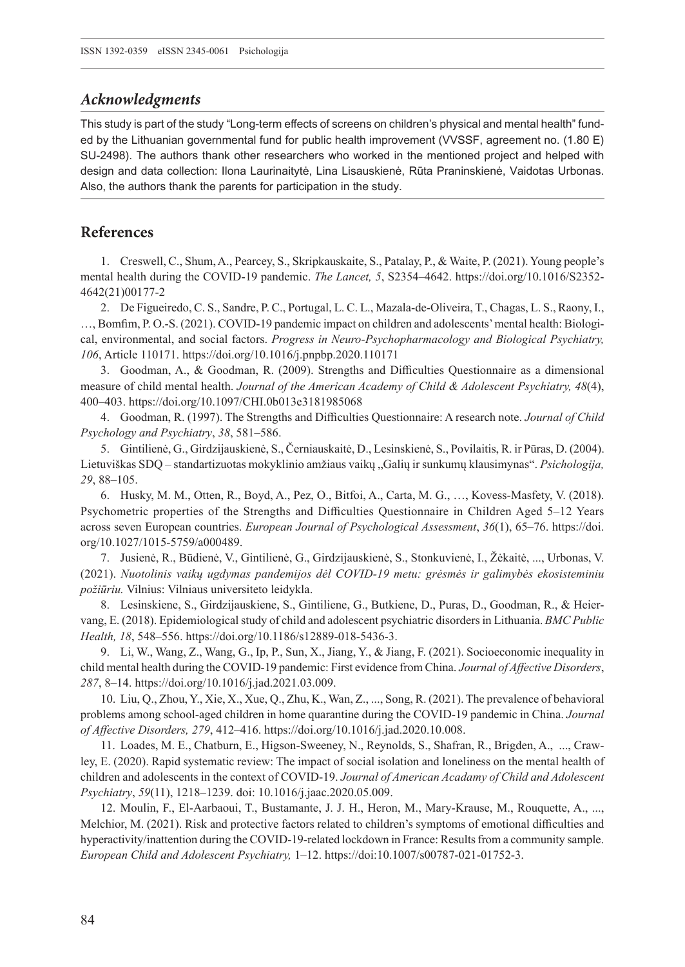## *Acknowledgments*

This study is part of the study "Long-term effects of screens on children's physical and mental health" funded by the Lithuanian governmental fund for public health improvement (VVSSF, agreement no. (1.80 E) SU-2498). The authors thank other researchers who worked in the mentioned project and helped with design and data collection: Ilona Laurinaitytė, Lina Lisauskienė, Rūta Praninskienė, Vaidotas Urbonas. Also, the authors thank the parents for participation in the study.

## **References**

1. Creswell, C., Shum, A., Pearcey, S., Skripkauskaite, S., Patalay, P., & Waite, P. (2021). Young people's mental health during the COVID-19 pandemic. *The Lancet, 5*, S2354–4642. [https://doi.org/10.1016/S2352-](https://doi.org/10.1016/S2352-4642(21)00177-2) [4642\(21\)00177-2](https://doi.org/10.1016/S2352-4642(21)00177-2)

2. De Figueiredo, C. S., Sandre, P. C., Portugal, L. C. L., Mazala-de-Oliveira, T., Chagas, L. S., Raony, I., …, Bomfim, P. O.-S. (2021). COVID-19 pandemic impact on children and adolescents' mental health: Biological, environmental, and social factors. *Progress in Neuro-Psychopharmacology and Biological Psychiatry, 106*, Article 110171.<https://doi.org/10.1016/j.pnpbp.2020.110171>

3. Goodman, A., & Goodman, R. (2009). Strengths and Difficulties Questionnaire as a dimensional measure of child mental health. *Journal of the American Academy of Child & Adolescent Psychiatry, 48*(4), 400–403. <https://doi.org/10.1097/CHI.0b013e3181985068>

4. Goodman, R. (1997). The Strengths and Difficulties Questionnaire: A research note. *Journal of Child Psychology and Psychiatry*, *38*, 581–586.

5. Gintilienė, G., Girdzijauskienė, S., Černiauskaitė, D., Lesinskienė, S., Povilaitis, R. ir Pūras, D. (2004). Lietuviškas SDQ – standartizuotas mokyklinio amžiaus vaikų "Galių ir sunkumų klausimynas". *Psichologija, 29*, 88–105.

6. Husky, M. M., Otten, R., Boyd, A., Pez, O., Bitfoi, A., Carta, M. G., …, Kovess-Masfety, V. (2018). Psychometric properties of the Strengths and Difficulties Questionnaire in Children Aged 5–12 Years across seven European countries. *European Journal of Psychological Assessment*, *36*(1), 65–76. [https://doi.](https://doi.org/10.1027/1015-5759/a000489) [org/10.1027/1015-5759/a000489.](https://doi.org/10.1027/1015-5759/a000489)

7. Jusienė, R., Būdienė, V., Gintilienė, G., Girdzijauskienė, S., Stonkuvienė, I., Žėkaitė, ..., Urbonas, V. (2021). *Nuotolinis vaikų ugdymas pandemijos dėl COVID-19 metu: grėsmės ir galimybės ekosisteminiu požiūriu.* Vilnius: Vilniaus universiteto leidykla.

8. Lesinskiene, S., Girdzijauskiene, S., Gintiliene, G., Butkiene, D., Puras, D., Goodman, R., & Heiervang, E. (2018). Epidemiological study of child and adolescent psychiatric disorders in Lithuania. *BMC Public Health, 18*, 548–556. [https://doi.org/10.1186/s12889-018-5436-3.](https://doi.org/10.1186/s12889-018-5436-3)

9. Li, W., Wang, Z., Wang, G., Ip, P., Sun, X., Jiang, Y., & Jiang, F. (2021). Socioeconomic inequality in child mental health during the COVID-19 pandemic: First evidence from China. *Journal of Affective Disorders*, *287*, 8–14. [https://doi.org/10.1016/j.jad.2021.03.009.](https://doi.org/10.1016/j.jad.2021.03.009)

10. Liu, Q., Zhou, Y., Xie, X., Xue, Q., Zhu, K., Wan, Z., ..., Song, R. (2021). The prevalence of behavioral problems among school-aged children in home quarantine during the COVID-19 pandemic in China. *Journal of Affective Disorders, 279*, 412–416. [https://doi.org/10.1016/j.jad.2020.10.008.](https://doi.org/10.1016/j.jad.2020.10.008)

11. Loades, M. E., Chatburn, E., Higson-Sweeney, N., Reynolds, S., Shafran, R., Brigden, A., ..., Crawley, E. (2020). Rapid systematic review: The impact of social isolation and loneliness on the mental health of children and adolescents in the context of COVID-19. *Journal of American Acadamy of Child and Adolescent Psychiatry*, *59*(11), 1218–1239. doi: [10.1016/j.jaac.](10.1016/j.jaac)2020.05.009.

12. Moulin, F., El-Aarbaoui, T., Bustamante, J. J. H., Heron, M., Mary-Krause, M., Rouquette, A., ..., Melchior, M. (2021). Risk and protective factors related to children's symptoms of emotional difficulties and hyperactivity/inattention during the COVID-19-related lockdown in France: Results from a community sample. *European Child and Adolescent Psychiatry,* 1–12. [https://doi:10.1007/s00787-021-01752-3.](https://doi:10.1007/s00787-021-01752-3)